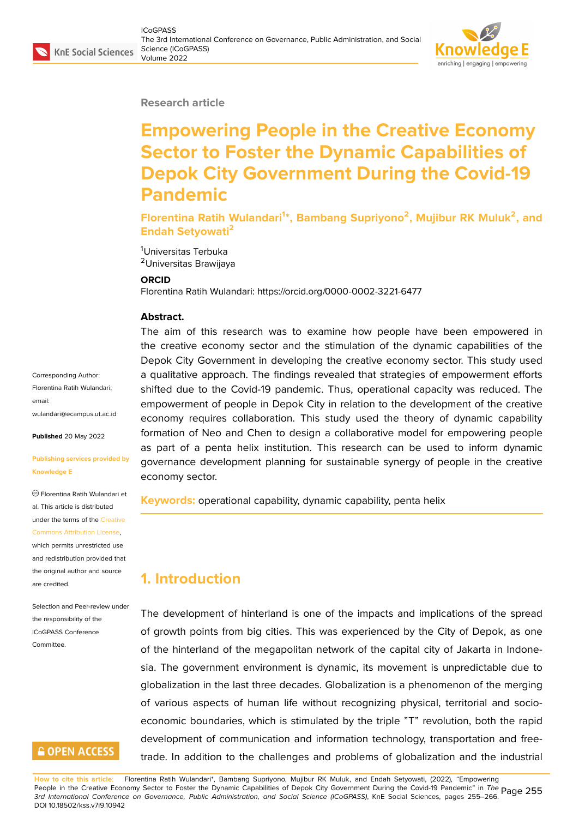#### **Research article**

# **Empowering People in the Creative Economy Sector to Foster the Dynamic Capabilities of Depok City Government During the Covid-19 Pandemic**

**Florentina Ratih Wulandari<sup>1</sup> \*, Bambang Supriyono<sup>2</sup> , Mujibur RK Muluk<sup>2</sup> , and Endah Setyowati<sup>2</sup>**

<sup>1</sup>Universitas Terbuka <sup>2</sup>Universitas Brawijaya

#### **ORCID**

Florentina Ratih Wulandari: https://orcid.org/0000-0002-3221-6477

#### **Abstract.**

The aim of this research was to examine how people have been empowered in the creative economy sector and the stimulation of the dynamic capabilities of the Depok City Government in developing the creative economy sector. This study used a qualitative approach. The findings revealed that strategies of empowerment efforts shifted due to the Covid-19 pandemic. Thus, operational capacity was reduced. The empowerment of people in Depok City in relation to the development of the creative economy requires collaboration. This study used the theory of dynamic capability formation of Neo and Chen to design a collaborative model for empowering people as part of a penta helix institution. This research can be used to inform dynamic governance development planning for sustainable synergy of people in the creative economy sector.

**Keywords:** operational capability, dynamic capability, penta helix

## **1. Introduction**

The development of hinterland is one of the impacts and implications of the spread of growth points from big cities. This was experienced by the City of Depok, as one of the hinterland of the megapolitan network of the capital city of Jakarta in Indonesia. The government environment is dynamic, its movement is unpredictable due to globalization in the last three decades. Globalization is a phenomenon of the merging of various aspects of human life without recognizing physical, territorial and socioeconomic boundaries, which is stimulated by the triple "T" revolution, both the rapid development of communication and information technology, transportation and freetrade. In addition to the challenges and problems of globalization and the industrial

Corresponding Author: Florentina Ratih Wulandari; email: wulandari@ecampus.ut.ac.id

**Published** 20 May 2022

#### **[Publishing services provided](mailto:wulandari@ecampus.ut.ac.id) by Knowledge E**

Florentina Ratih Wulandari et al. This article is distributed under the terms of the Creative Commons Attribution License,

which permits unrestricted use and redistribution provided that the original author and [source](https://creativecommons.org/licenses/by/4.0/) [are credited.](https://creativecommons.org/licenses/by/4.0/)

Selection and Peer-review under the responsibility of the ICoGPASS Conference Committee.

### **GOPEN ACCESS**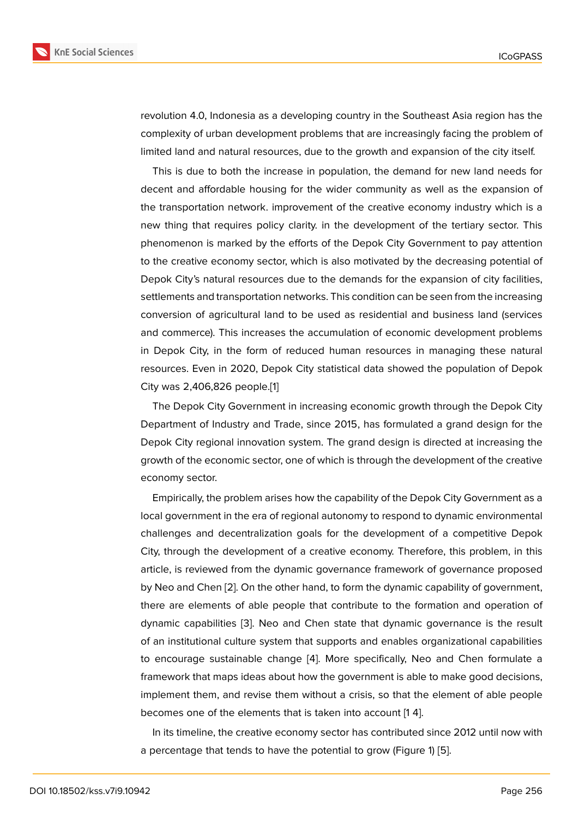revolution 4.0, Indonesia as a developing country in the Southeast Asia region has the complexity of urban development problems that are increasingly facing the problem of limited land and natural resources, due to the growth and expansion of the city itself.

This is due to both the increase in population, the demand for new land needs for decent and affordable housing for the wider community as well as the expansion of the transportation network. improvement of the creative economy industry which is a new thing that requires policy clarity. in the development of the tertiary sector. This phenomenon is marked by the efforts of the Depok City Government to pay attention to the creative economy sector, which is also motivated by the decreasing potential of Depok City's natural resources due to the demands for the expansion of city facilities, settlements and transportation networks. This condition can be seen from the increasing conversion of agricultural land to be used as residential and business land (services and commerce). This increases the accumulation of economic development problems in Depok City, in the form of reduced human resources in managing these natural resources. Even in 2020, Depok City statistical data showed the population of Depok City was 2,406,826 people.[1]

The Depok City Government in increasing economic growth through the Depok City Department of Industry and Trade, since 2015, has formulated a grand design for the Depok City regional innovat[io](#page-9-0)n system. The grand design is directed at increasing the growth of the economic sector, one of which is through the development of the creative economy sector.

Empirically, the problem arises how the capability of the Depok City Government as a local government in the era of regional autonomy to respond to dynamic environmental challenges and decentralization goals for the development of a competitive Depok City, through the development of a creative economy. Therefore, this problem, in this article, is reviewed from the dynamic governance framework of governance proposed by Neo and Chen [2]. On the other hand, to form the dynamic capability of government, there are elements of able people that contribute to the formation and operation of dynamic capabilities [3]. Neo and Chen state that dynamic governance is the result of an institutional [cu](#page-9-1)lture system that supports and enables organizational capabilities to encourage sustainable change [4]. More specifically, Neo and Chen formulate a framework that maps i[de](#page-9-2)as about how the government is able to make good decisions, implement them, and revise them without a crisis, so that the element of able people becomes one of the elements that i[s t](#page-10-0)aken into account [1 4].

In its timeline, the creative economy sector has contributed since 2012 until now with a percentage that tends to have the potential to grow (Figure 1) [5].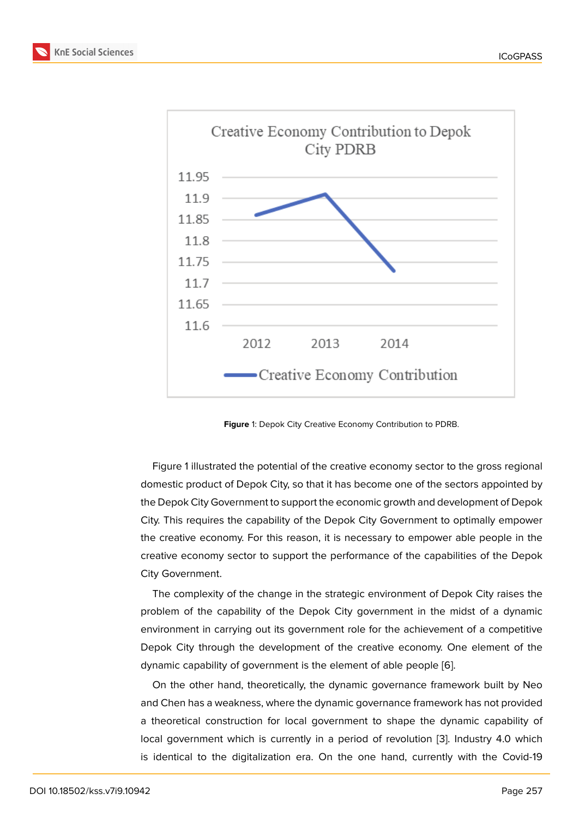

<span id="page-2-0"></span>**Figure** 1: Depok City Creative Economy Contribution to PDRB.

Figure 1 illustrated the potential of the creative economy sector to the gross regional domestic product of Depok City, so that it has become one of the sectors appointed by the Depok City Government to support the economic growth and development of Depok City. This [r](#page-2-0)equires the capability of the Depok City Government to optimally empower the creative economy. For this reason, it is necessary to empower able people in the creative economy sector to support the performance of the capabilities of the Depok City Government.

The complexity of the change in the strategic environment of Depok City raises the problem of the capability of the Depok City government in the midst of a dynamic environment in carrying out its government role for the achievement of a competitive Depok City through the development of the creative economy. One element of the dynamic capability of government is the element of able people [6].

On the other hand, theoretically, the dynamic governance framework built by Neo and Chen has a weakness, where the dynamic governance framework has not provided a theoretical construction for local government to shape the [dy](#page-10-1)namic capability of local government which is currently in a period of revolution [3]. Industry 4.0 which is identical to the digitalization era. On the one hand, currently with the Covid-19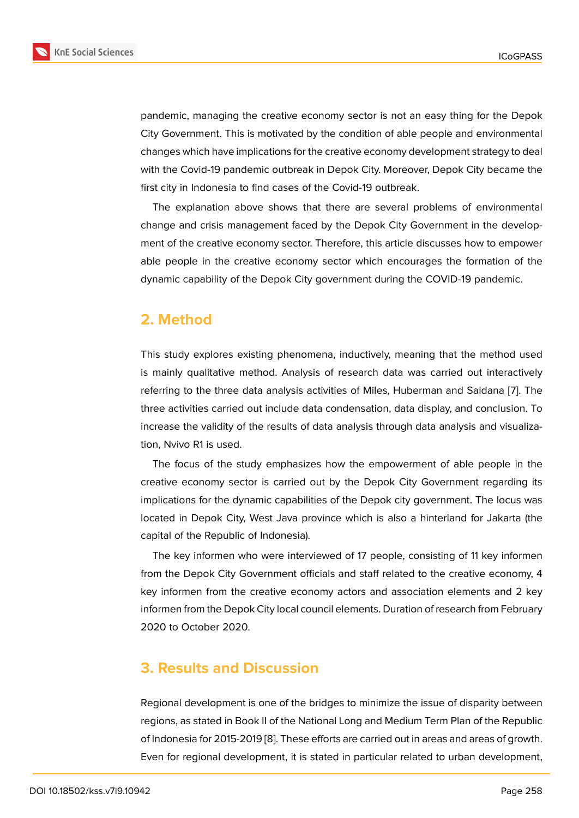pandemic, managing the creative economy sector is not an easy thing for the Depok City Government. This is motivated by the condition of able people and environmental changes which have implications for the creative economy development strategy to deal with the Covid-19 pandemic outbreak in Depok City. Moreover, Depok City became the first city in Indonesia to find cases of the Covid-19 outbreak.

The explanation above shows that there are several problems of environmental change and crisis management faced by the Depok City Government in the development of the creative economy sector. Therefore, this article discusses how to empower able people in the creative economy sector which encourages the formation of the dynamic capability of the Depok City government during the COVID-19 pandemic.

### **2. Method**

This study explores existing phenomena, inductively, meaning that the method used is mainly qualitative method. Analysis of research data was carried out interactively referring to the three data analysis activities of Miles, Huberman and Saldana [7]. The three activities carried out include data condensation, data display, and conclusion. To increase the validity of the results of data analysis through data analysis and visualization, Nvivo R1 is used.

The focus of the study emphasizes how the empowerment of able people in the creative economy sector is carried out by the Depok City Government regarding its implications for the dynamic capabilities of the Depok city government. The locus was located in Depok City, West Java province which is also a hinterland for Jakarta (the capital of the Republic of Indonesia).

The key informen who were interviewed of 17 people, consisting of 11 key informen from the Depok City Government officials and staff related to the creative economy, 4 key informen from the creative economy actors and association elements and 2 key informen from the Depok City local council elements. Duration of research from February 2020 to October 2020.

### **3. Results and Discussion**

Regional development is one of the bridges to minimize the issue of disparity between regions, as stated in Book II of the National Long and Medium Term Plan of the Republic of Indonesia for 2015-2019 [8]. These efforts are carried out in areas and areas of growth. Even for regional development, it is stated in particular related to urban development,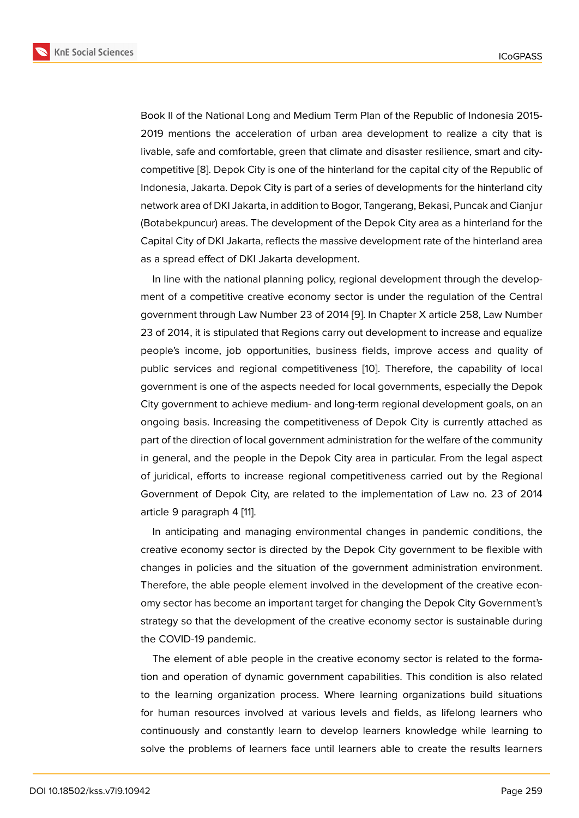Book II of the National Long and Medium Term Plan of the Republic of Indonesia 2015- 2019 mentions the acceleration of urban area development to realize a city that is livable, safe and comfortable, green that climate and disaster resilience, smart and citycompetitive [8]. Depok City is one of the hinterland for the capital city of the Republic of Indonesia, Jakarta. Depok City is part of a series of developments for the hinterland city network area of DKI Jakarta, in addition to Bogor, Tangerang, Bekasi, Puncak and Cianjur (Botabekpu[ncu](#page-10-2)r) areas. The development of the Depok City area as a hinterland for the Capital City of DKI Jakarta, reflects the massive development rate of the hinterland area as a spread effect of DKI Jakarta development.

In line with the national planning policy, regional development through the development of a competitive creative economy sector is under the regulation of the Central government through Law Number 23 of 2014 [9]. In Chapter X article 258, Law Number 23 of 2014, it is stipulated that Regions carry out development to increase and equalize people's income, job opportunities, business fields, improve access and quality of public services and regional competitivenes[s](#page-10-3) [10]. Therefore, the capability of local government is one of the aspects needed for local governments, especially the Depok City government to achieve medium- and long-term regional development goals, on an ongoing basis. Increasing the competitiveness [of](#page-10-4) Depok City is currently attached as part of the direction of local government administration for the welfare of the community in general, and the people in the Depok City area in particular. From the legal aspect of juridical, efforts to increase regional competitiveness carried out by the Regional Government of Depok City, are related to the implementation of Law no. 23 of 2014 article 9 paragraph 4 [11].

In anticipating and managing environmental changes in pandemic conditions, the creative economy sector is directed by the Depok City government to be flexible with changes in policies a[nd](#page-10-5) the situation of the government administration environment. Therefore, the able people element involved in the development of the creative economy sector has become an important target for changing the Depok City Government's strategy so that the development of the creative economy sector is sustainable during the COVID-19 pandemic.

The element of able people in the creative economy sector is related to the formation and operation of dynamic government capabilities. This condition is also related to the learning organization process. Where learning organizations build situations for human resources involved at various levels and fields, as lifelong learners who continuously and constantly learn to develop learners knowledge while learning to solve the problems of learners face until learners able to create the results learners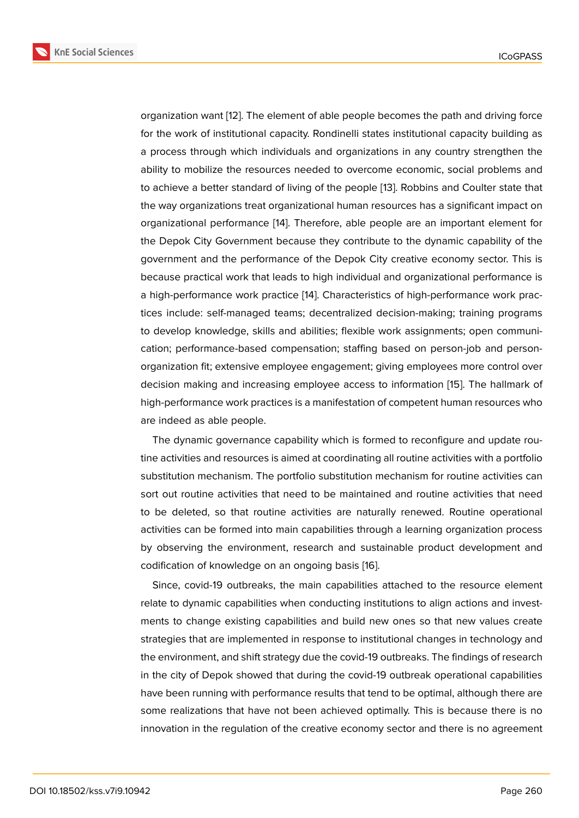organization want [12]. The element of able people becomes the path and driving force for the work of institutional capacity. Rondinelli states institutional capacity building as a process through which individuals and organizations in any country strengthen the ability to mobilize [the](#page-10-6) resources needed to overcome economic, social problems and to achieve a better standard of living of the people [13]. Robbins and Coulter state that the way organizations treat organizational human resources has a significant impact on organizational performance [14]. Therefore, able people are an important element for the Depok City Government because they contribu[te](#page-10-7) to the dynamic capability of the government and the performance of the Depok City creative economy sector. This is because practical work that l[ea](#page-10-8)ds to high individual and organizational performance is a high-performance work practice [14]. Characteristics of high-performance work practices include: self-managed teams; decentralized decision-making; training programs to develop knowledge, skills and abilities; flexible work assignments; open communication; performance-based compe[ns](#page-10-8)ation; staffing based on person-job and personorganization fit; extensive employee engagement; giving employees more control over decision making and increasing employee access to information [15]. The hallmark of high-performance work practices is a manifestation of competent human resources who are indeed as able people.

The dynamic governance capability which is formed to reconfig[ure](#page-10-9) and update routine activities and resources is aimed at coordinating all routine activities with a portfolio substitution mechanism. The portfolio substitution mechanism for routine activities can sort out routine activities that need to be maintained and routine activities that need to be deleted, so that routine activities are naturally renewed. Routine operational activities can be formed into main capabilities through a learning organization process by observing the environment, research and sustainable product development and codification of knowledge on an ongoing basis [16].

Since, covid-19 outbreaks, the main capabilities attached to the resource element relate to dynamic capabilities when conducting institutions to align actions and investments to change existing capabilities and buil[d n](#page-10-10)ew ones so that new values create strategies that are implemented in response to institutional changes in technology and the environment, and shift strategy due the covid-19 outbreaks. The findings of research in the city of Depok showed that during the covid-19 outbreak operational capabilities have been running with performance results that tend to be optimal, although there are some realizations that have not been achieved optimally. This is because there is no innovation in the regulation of the creative economy sector and there is no agreement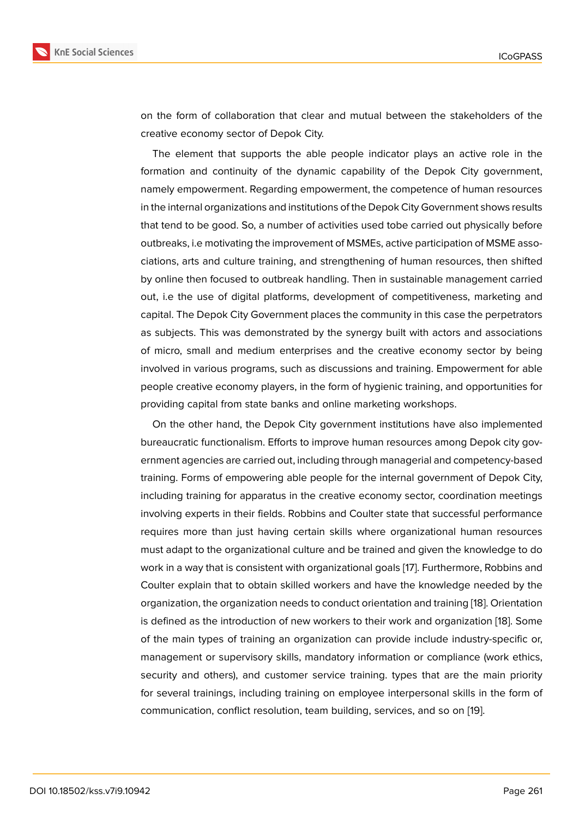on the form of collaboration that clear and mutual between the stakeholders of the creative economy sector of Depok City.

The element that supports the able people indicator plays an active role in the formation and continuity of the dynamic capability of the Depok City government, namely empowerment. Regarding empowerment, the competence of human resources in the internal organizations and institutions of the Depok City Government shows results that tend to be good. So, a number of activities used tobe carried out physically before outbreaks, i.e motivating the improvement of MSMEs, active participation of MSME associations, arts and culture training, and strengthening of human resources, then shifted by online then focused to outbreak handling. Then in sustainable management carried out, i.e the use of digital platforms, development of competitiveness, marketing and capital. The Depok City Government places the community in this case the perpetrators as subjects. This was demonstrated by the synergy built with actors and associations of micro, small and medium enterprises and the creative economy sector by being involved in various programs, such as discussions and training. Empowerment for able people creative economy players, in the form of hygienic training, and opportunities for providing capital from state banks and online marketing workshops.

On the other hand, the Depok City government institutions have also implemented bureaucratic functionalism. Efforts to improve human resources among Depok city government agencies are carried out, including through managerial and competency-based training. Forms of empowering able people for the internal government of Depok City, including training for apparatus in the creative economy sector, coordination meetings involving experts in their fields. Robbins and Coulter state that successful performance requires more than just having certain skills where organizational human resources must adapt to the organizational culture and be trained and given the knowledge to do work in a way that is consistent with organizational goals [17]. Furthermore, Robbins and Coulter explain that to obtain skilled workers and have the knowledge needed by the organization, the organization needs to conduct orientation and training [18]. Orientation is defined as the introduction of new workers to their wo[rk a](#page-10-11)nd organization [18]. Some of the main types of training an organization can provide include industry-specific or, management or supervisory skills, mandatory information or complian[ce](#page-10-12) (work ethics, security and others), and customer service training. types that are the ma[in](#page-10-12) priority for several trainings, including training on employee interpersonal skills in the form of communication, conflict resolution, team building, services, and so on [19].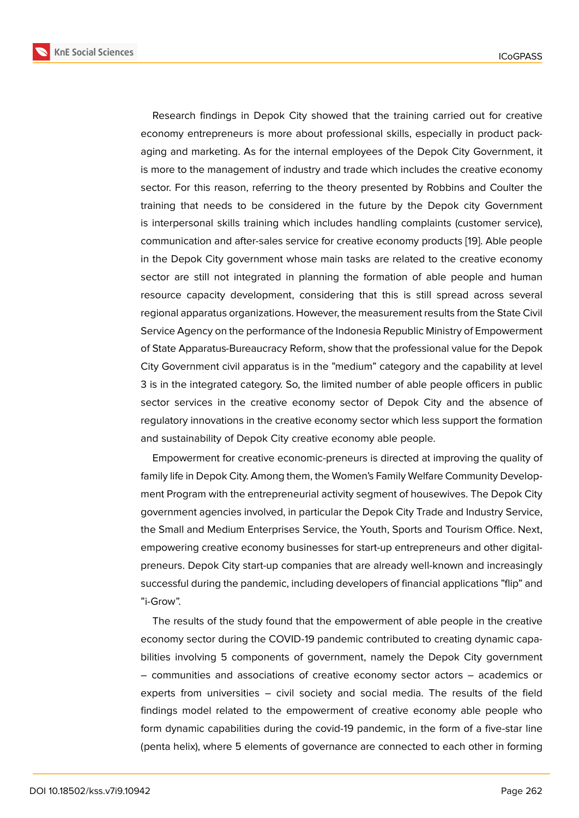Research findings in Depok City showed that the training carried out for creative economy entrepreneurs is more about professional skills, especially in product packaging and marketing. As for the internal employees of the Depok City Government, it is more to the management of industry and trade which includes the creative economy sector. For this reason, referring to the theory presented by Robbins and Coulter the training that needs to be considered in the future by the Depok city Government is interpersonal skills training which includes handling complaints (customer service), communication and after-sales service for creative economy products [19]. Able people in the Depok City government whose main tasks are related to the creative economy sector are still not integrated in planning the formation of able people and human resource capacity development, considering that this is still sprea[d a](#page-10-13)cross several regional apparatus organizations. However, the measurement results from the State Civil Service Agency on the performance of the Indonesia Republic Ministry of Empowerment of State Apparatus-Bureaucracy Reform, show that the professional value for the Depok City Government civil apparatus is in the "medium" category and the capability at level 3 is in the integrated category. So, the limited number of able people officers in public sector services in the creative economy sector of Depok City and the absence of regulatory innovations in the creative economy sector which less support the formation and sustainability of Depok City creative economy able people.

Empowerment for creative economic-preneurs is directed at improving the quality of family life in Depok City. Among them, the Women's Family Welfare Community Development Program with the entrepreneurial activity segment of housewives. The Depok City government agencies involved, in particular the Depok City Trade and Industry Service, the Small and Medium Enterprises Service, the Youth, Sports and Tourism Office. Next, empowering creative economy businesses for start-up entrepreneurs and other digitalpreneurs. Depok City start-up companies that are already well-known and increasingly successful during the pandemic, including developers of financial applications "flip" and "i-Grow".

The results of the study found that the empowerment of able people in the creative economy sector during the COVID-19 pandemic contributed to creating dynamic capabilities involving 5 components of government, namely the Depok City government – communities and associations of creative economy sector actors – academics or experts from universities – civil society and social media. The results of the field findings model related to the empowerment of creative economy able people who form dynamic capabilities during the covid-19 pandemic, in the form of a five-star line (penta helix), where 5 elements of governance are connected to each other in forming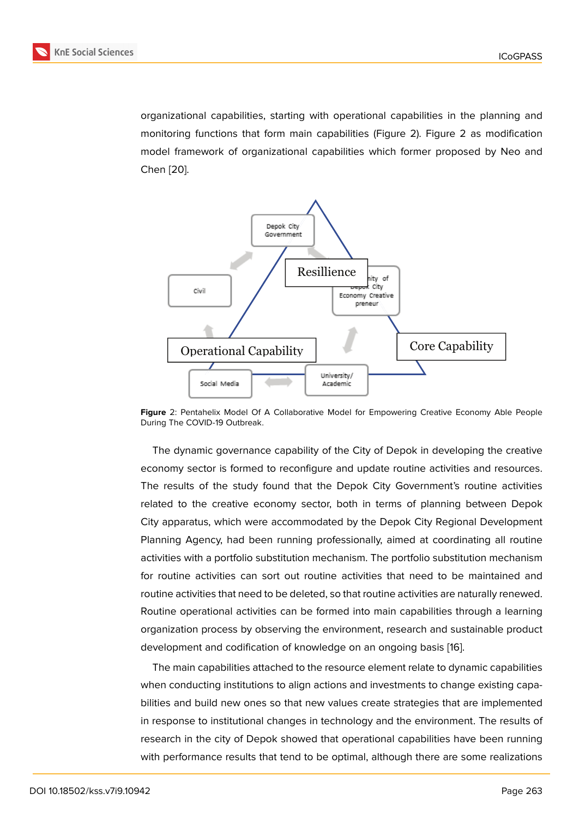organizational capabilities, starting with operational capabilities in the planning and monitoring functions that form main capabilities (Figure 2). Figure 2 as modification model framework of organizational capabilities which former proposed by Neo and Chen [20].



**Figure** 2: Pentahelix Model Of A Collaborative Model for Empowering Creative Economy Able People During The COVID-19 Outbreak.

The dynamic governance capability of the City of Depok in developing the creative economy sector is formed to reconfigure and update routine activities and resources. The results of the study found that the Depok City Government's routine activities related to the creative economy sector, both in terms of planning between Depok City apparatus, which were accommodated by the Depok City Regional Development Planning Agency, had been running professionally, aimed at coordinating all routine activities with a portfolio substitution mechanism. The portfolio substitution mechanism for routine activities can sort out routine activities that need to be maintained and routine activities that need to be deleted, so that routine activities are naturally renewed. Routine operational activities can be formed into main capabilities through a learning organization process by observing the environment, research and sustainable product development and codification of knowledge on an ongoing basis [16].

The main capabilities attached to the resource element relate to dynamic capabilities when conducting institutions to align actions and investments to change existing capabilities and build new ones so that new values create strategies t[hat](#page-10-10) are implemented in response to institutional changes in technology and the environment. The results of research in the city of Depok showed that operational capabilities have been running with performance results that tend to be optimal, although there are some realizations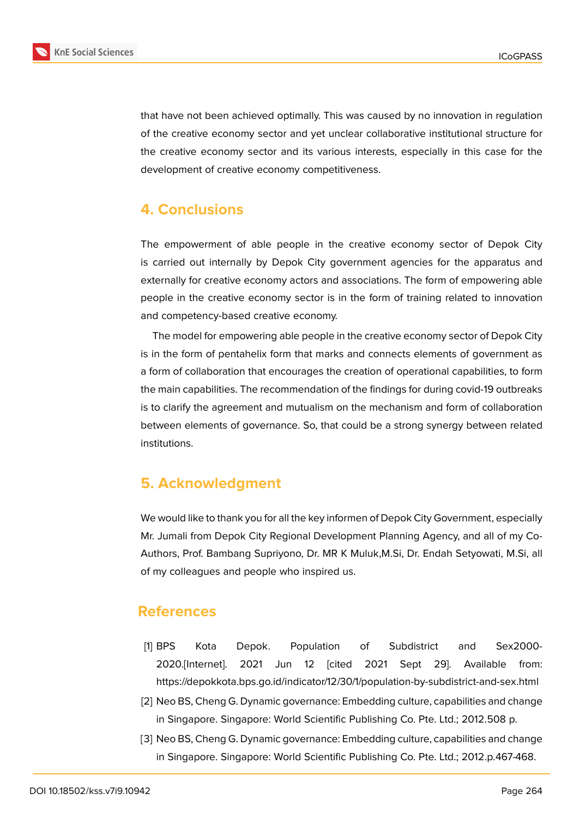

that have not been achieved optimally. This was caused by no innovation in regulation of the creative economy sector and yet unclear collaborative institutional structure for the creative economy sector and its various interests, especially in this case for the development of creative economy competitiveness.

# **4. Conclusions**

The empowerment of able people in the creative economy sector of Depok City is carried out internally by Depok City government agencies for the apparatus and externally for creative economy actors and associations. The form of empowering able people in the creative economy sector is in the form of training related to innovation and competency-based creative economy.

The model for empowering able people in the creative economy sector of Depok City is in the form of pentahelix form that marks and connects elements of government as a form of collaboration that encourages the creation of operational capabilities, to form the main capabilities. The recommendation of the findings for during covid-19 outbreaks is to clarify the agreement and mutualism on the mechanism and form of collaboration between elements of governance. So, that could be a strong synergy between related institutions.

### **5. Acknowledgment**

We would like to thank you for all the key informen of Depok City Government, especially Mr. Jumali from Depok City Regional Development Planning Agency, and all of my Co-Authors, Prof. Bambang Supriyono, Dr. MR K Muluk,M.Si, Dr. Endah Setyowati, M.Si, all of my colleagues and people who inspired us.

### **References**

- <span id="page-9-0"></span>[1] BPS Kota Depok. Population of Subdistrict and Sex2000- 2020.[Internet]. 2021 Jun 12 [cited 2021 Sept 29]. Available from: https://depokkota.bps.go.id/indicator/12/30/1/population-by-subdistrict-and-sex.html
- <span id="page-9-1"></span>[2] Neo BS, Cheng G. Dynamic governance: Embedding culture, capabilities and change in Singapore. Singapore: World Scientific Publishing Co. Pte. Ltd.; 2012.508 p.
- <span id="page-9-2"></span>[3] Neo BS, Cheng G. Dynamic governance: Embedding culture, capabilities and change in Singapore. Singapore: World Scientific Publishing Co. Pte. Ltd.; 2012.p.467-468.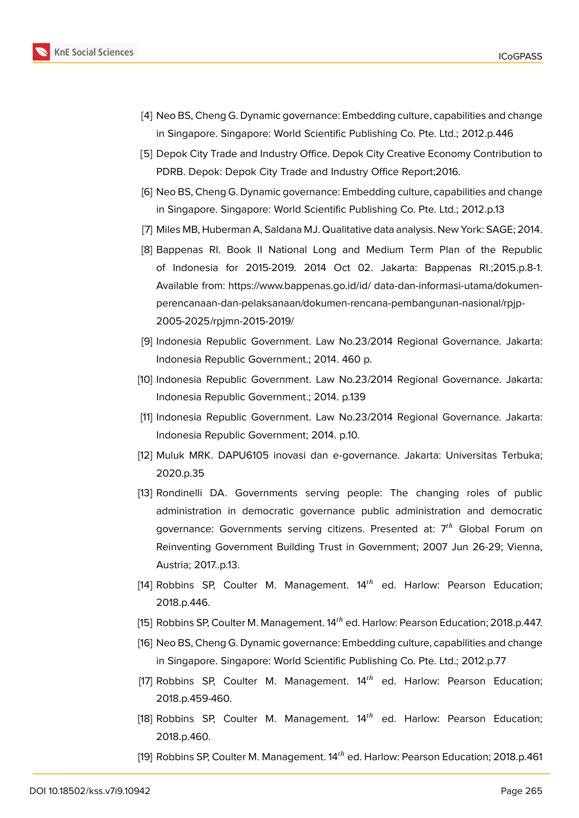

- <span id="page-10-0"></span>[4] Neo BS, Cheng G. Dynamic governance: Embedding culture, capabilities and change in Singapore. Singapore: World Scientific Publishing Co. Pte. Ltd.; 2012.p.446
- [5] Depok City Trade and Industry Office. Depok City Creative Economy Contribution to PDRB. Depok: Depok City Trade and Industry Office Report;2016.
- <span id="page-10-1"></span>[6] Neo BS, Cheng G. Dynamic governance: Embedding culture, capabilities and change in Singapore. Singapore: World Scientific Publishing Co. Pte. Ltd.; 2012.p.13
- [7] Miles MB, Huberman A, Saldana MJ. Qualitative data analysis. New York: SAGE; 2014.
- <span id="page-10-2"></span>[8] Bappenas RI. Book II National Long and Medium Term Plan of the Republic of Indonesia for 2015-2019. 2014 Oct 02. Jakarta: Bappenas RI.;2015.p.8-1. Available from: https://www.bappenas.go.id/id/ data-dan-informasi-utama/dokumenperencanaan-dan-pelaksanaan/dokumen-rencana-pembangunan-nasional/rpjp-2005-2025/rpjmn-2015-2019/
- <span id="page-10-3"></span>[9] Indonesia Republic Government. Law No.23/2014 Regional Governance. Jakarta: Indonesia Republic Government.; 2014. 460 p.
- <span id="page-10-4"></span>[10] Indonesia Republic Government. Law No.23/2014 Regional Governance. Jakarta: Indonesia Republic Government.; 2014. p.139
- <span id="page-10-5"></span>[11] Indonesia Republic Government. Law No.23/2014 Regional Governance. Jakarta: Indonesia Republic Government; 2014. p.10.
- <span id="page-10-6"></span>[12] Muluk MRK. DAPU6105 inovasi dan e-governance. Jakarta: Universitas Terbuka; 2020.p.35
- <span id="page-10-7"></span>[13] Rondinelli DA. Governments serving people: The changing roles of public administration in democratic governance public administration and democratic governance: Governments serving citizens. Presented at:  $7<sup>th</sup>$  Global Forum on Reinventing Government Building Trust in Government; 2007 Jun 26-29; Vienna, Austria; 2017..p.13.
- <span id="page-10-8"></span>[14] Robbins SP, Coulter M. Management.  $14<sup>th</sup>$  ed. Harlow: Pearson Education; 2018.p.446.
- <span id="page-10-9"></span>[15] Robbins SP, Coulter M. Management.  $14<sup>th</sup>$  ed. Harlow: Pearson Education; 2018.p.447.
- <span id="page-10-10"></span>[16] Neo BS, Cheng G. Dynamic governance: Embedding culture, capabilities and change in Singapore. Singapore: World Scientific Publishing Co. Pte. Ltd.; 2012.p.77
- <span id="page-10-11"></span>[17] Robbins SP, Coulter M. Management.  $14<sup>th</sup>$  ed. Harlow: Pearson Education; 2018.p.459-460.
- <span id="page-10-12"></span>[18] Robbins SP, Coulter M. Management.  $14<sup>th</sup>$  ed. Harlow: Pearson Education; 2018.p.460.
- <span id="page-10-13"></span>[19] Robbins SP, Coulter M. Management.  $14<sup>th</sup>$  ed. Harlow: Pearson Education; 2018.p.461